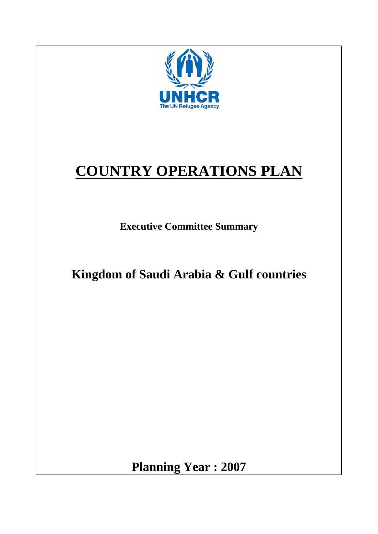

**Planning Year : 2007**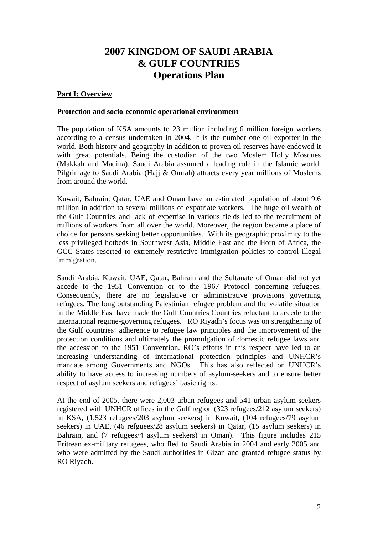# **2007 KINGDOM OF SAUDI ARABIA & GULF COUNTRIES Operations Plan**

# **Part I: Overview**

#### **Protection and socio-economic operational environment**

The population of KSA amounts to 23 million including 6 million foreign workers according to a census undertaken in 2004. It is the number one oil exporter in the world. Both history and geography in addition to proven oil reserves have endowed it with great potentials. Being the custodian of the two Moslem Holly Mosques (Makkah and Madina), Saudi Arabia assumed a leading role in the Islamic world. Pilgrimage to Saudi Arabia (Hajj & Omrah) attracts every year millions of Moslems from around the world.

Kuwait, Bahrain, Qatar, UAE and Oman have an estimated population of about 9.6 million in addition to several millions of expatriate workers. The huge oil wealth of the Gulf Countries and lack of expertise in various fields led to the recruitment of millions of workers from all over the world. Moreover, the region became a place of choice for persons seeking better opportunities. With its geographic proximity to the less privileged hotbeds in Southwest Asia, Middle East and the Horn of Africa, the GCC States resorted to extremely restrictive immigration policies to control illegal immigration.

Saudi Arabia, Kuwait, UAE, Qatar, Bahrain and the Sultanate of Oman did not yet accede to the 1951 Convention or to the 1967 Protocol concerning refugees. Consequently, there are no legislative or administrative provisions governing refugees. The long outstanding Palestinian refugee problem and the volatile situation in the Middle East have made the Gulf Countries Countries reluctant to accede to the international regime-governing refugees. RO Riyadh's focus was on strengthening of the Gulf countries' adherence to refugee law principles and the improvement of the protection conditions and ultimately the promulgation of domestic refugee laws and the accession to the 1951 Convention. RO's efforts in this respect have led to an increasing understanding of international protection principles and UNHCR's mandate among Governments and NGOs. This has also reflected on UNHCR's ability to have access to increasing numbers of asylum-seekers and to ensure better respect of asylum seekers and refugees' basic rights.

At the end of 2005, there were 2,003 urban refugees and 541 urban asylum seekers registered with UNHCR offices in the Gulf region (323 refugees/212 asylum seekers) in KSA, (1,523 refugees/203 asylum seekers) in Kuwait, (104 refugees/79 asylum seekers) in UAE, (46 refguees/28 asylum seekers) in Qatar, (15 asylum seekers) in Bahrain, and (7 refugees/4 asylum seekers) in Oman). This figure includes 215 Eritrean ex-military refugees, who fled to Saudi Arabia in 2004 and early 2005 and who were admitted by the Saudi authorities in Gizan and granted refugee status by RO Riyadh.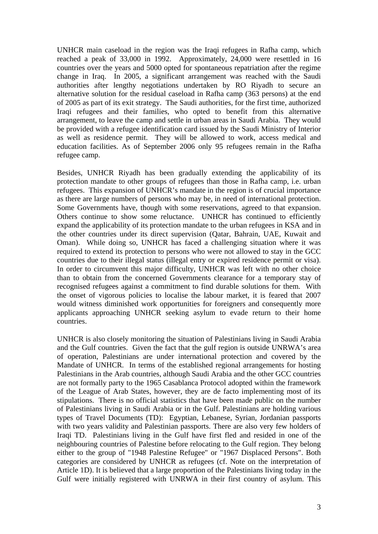UNHCR main caseload in the region was the Iraqi refugees in Rafha camp, which reached a peak of 33,000 in 1992. Approximately, 24,000 were resettled in 16 countries over the years and 5000 opted for spontaneous repatriation after the regime change in Iraq. In 2005, a significant arrangement was reached with the Saudi authorities after lengthy negotiations undertaken by RO Riyadh to secure an alternative solution for the residual caseload in Rafha camp (363 persons) at the end of 2005 as part of its exit strategy. The Saudi authorities, for the first time, authorized Iraqi refugees and their families, who opted to benefit from this alternative arrangement, to leave the camp and settle in urban areas in Saudi Arabia. They would be provided with a refugee identification card issued by the Saudi Ministry of Interior as well as residence permit. They will be allowed to work, access medical and education facilities. As of September 2006 only 95 refugees remain in the Rafha refugee camp.

Besides, UNHCR Riyadh has been gradually extending the applicability of its protection mandate to other groups of refugees than those in Rafha camp, i.e. urban refugees. This expansion of UNHCR's mandate in the region is of crucial importance as there are large numbers of persons who may be, in need of international protection. Some Governments have, though with some reservations, agreed to that expansion. Others continue to show some reluctance. UNHCR has continued to efficiently expand the applicability of its protection mandate to the urban refugees in KSA and in the other countries under its direct supervision (Qatar, Bahrain, UAE, Kuwait and Oman). While doing so, UNHCR has faced a challenging situation where it was required to extend its protection to persons who were not allowed to stay in the GCC countries due to their illegal status (illegal entry or expired residence permit or visa). In order to circumvent this major difficulty, UNHCR was left with no other choice than to obtain from the concerned Governments clearance for a temporary stay of recognised refugees against a commitment to find durable solutions for them. With the onset of vigorous policies to localise the labour market, it is feared that 2007 would witness diminished work opportunities for foreigners and consequently more applicants approaching UNHCR seeking asylum to evade return to their home countries.

UNHCR is also closely monitoring the situation of Palestinians living in Saudi Arabia and the Gulf countries. Given the fact that the gulf region is outside UNRWA's area of operation, Palestinians are under international protection and covered by the Mandate of UNHCR. In terms of the established regional arrangements for hosting Palestinians in the Arab countries, although Saudi Arabia and the other GCC countries are not formally party to the 1965 Casablanca Protocol adopted within the framework of the League of Arab States, however, they are de facto implementing most of its stipulations. There is no official statistics that have been made public on the number of Palestinians living in Saudi Arabia or in the Gulf. Palestinians are holding various types of Travel Documents (TD): Egyptian, Lebanese, Syrian, Jordanian passports with two years validity and Palestinian passports. There are also very few holders of Iraqi TD. Palestinians living in the Gulf have first fled and resided in one of the neighbouring countries of Palestine before relocating to the Gulf region. They belong either to the group of "1948 Palestine Refugee" or "1967 Displaced Persons". Both categories are considered by UNHCR as refugees (cf. Note on the interpretation of Article 1D). It is believed that a large proportion of the Palestinians living today in the Gulf were initially registered with UNRWA in their first country of asylum. This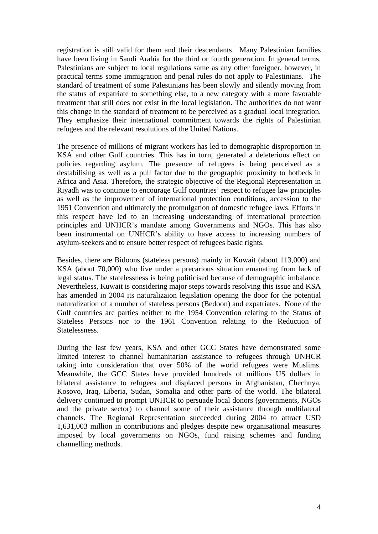registration is still valid for them and their descendants. Many Palestinian families have been living in Saudi Arabia for the third or fourth generation. In general terms, Palestinians are subject to local regulations same as any other foreigner, however, in practical terms some immigration and penal rules do not apply to Palestinians. The standard of treatment of some Palestinians has been slowly and silently moving from the status of expatriate to something else, to a new category with a more favorable treatment that still does not exist in the local legislation. The authorities do not want this change in the standard of treatment to be perceived as a gradual local integration. They emphasize their international commitment towards the rights of Palestinian refugees and the relevant resolutions of the United Nations.

The presence of millions of migrant workers has led to demographic disproportion in KSA and other Gulf countries. This has in turn, generated a deleterious effect on policies regarding asylum. The presence of refugees is being perceived as a destabilising as well as a pull factor due to the geographic proximity to hotbeds in Africa and Asia. Therefore, the strategic objective of the Regional Representation in Riyadh was to continue to encourage Gulf countries' respect to refugee law principles as well as the improvement of international protection conditions, accession to the 1951 Convention and ultimately the promulgation of domestic refugee laws. Efforts in this respect have led to an increasing understanding of international protection principles and UNHCR's mandate among Governments and NGOs. This has also been instrumental on UNHCR's ability to have access to increasing numbers of asylum-seekers and to ensure better respect of refugees basic rights.

Besides, there are Bidoons (stateless persons) mainly in Kuwait (about 113,000) and KSA (about 70,000) who live under a precarious situation emanating from lack of legal status. The statelessness is being politicised because of demographic imbalance. Nevertheless, Kuwait is considering major steps towards resolving this issue and KSA has amended in 2004 its naturalizaion legislation opening the door for the potential naturalization of a number of stateless persons (Bedoon) and expatriates. None of the Gulf countries are parties neither to the 1954 Convention relating to the Status of Stateless Persons nor to the 1961 Convention relating to the Reduction of Statelessness.

During the last few years, KSA and other GCC States have demonstrated some limited interest to channel humanitarian assistance to refugees through UNHCR taking into consideration that over 50% of the world refugees were Muslims. Meanwhile, the GCC States have provided hundreds of millions US dollars in bilateral assistance to refugees and displaced persons in Afghanistan, Chechnya, Kosovo, Iraq, Liberia, Sudan, Somalia and other parts of the world. The bilateral delivery continued to prompt UNHCR to persuade local donors (governments, NGOs and the private sector) to channel some of their assistance through multilateral channels. The Regional Representation succeeded during 2004 to attract USD 1,631,003 million in contributions and pledges despite new organisational measures imposed by local governments on NGOs, fund raising schemes and funding channelling methods.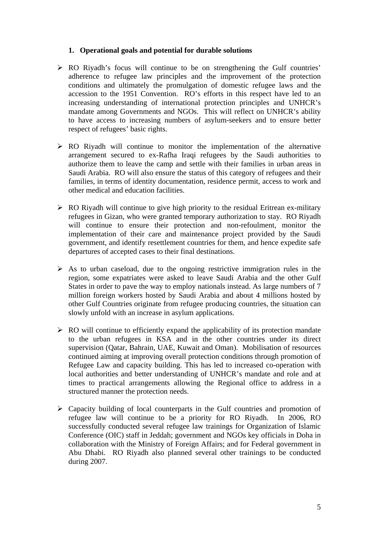#### **1. Operational goals and potential for durable solutions**

- $\triangleright$  RO Riyadh's focus will continue to be on strengthening the Gulf countries' adherence to refugee law principles and the improvement of the protection conditions and ultimately the promulgation of domestic refugee laws and the accession to the 1951 Convention. RO's efforts in this respect have led to an increasing understanding of international protection principles and UNHCR's mandate among Governments and NGOs. This will reflect on UNHCR's ability to have access to increasing numbers of asylum-seekers and to ensure better respect of refugees' basic rights.
- $\triangleright$  RO Riyadh will continue to monitor the implementation of the alternative arrangement secured to ex-Rafha Iraqi refugees by the Saudi authorities to authorize them to leave the camp and settle with their families in urban areas in Saudi Arabia. RO will also ensure the status of this category of refugees and their families, in terms of identity documentation, residence permit, access to work and other medical and education facilities.
- $\triangleright$  RO Riyadh will continue to give high priority to the residual Eritrean ex-military refugees in Gizan, who were granted temporary authorization to stay. RO Riyadh will continue to ensure their protection and non-refoulment, monitor the implementation of their care and maintenance project provided by the Saudi government, and identify resettlement countries for them, and hence expedite safe departures of accepted cases to their final destinations.
- $\triangleright$  As to urban caseload, due to the ongoing restrictive immigration rules in the region, some expatriates were asked to leave Saudi Arabia and the other Gulf States in order to pave the way to employ nationals instead. As large numbers of 7 million foreign workers hosted by Saudi Arabia and about 4 millions hosted by other Gulf Countries originate from refugee producing countries, the situation can slowly unfold with an increase in asylum applications.
- $\triangleright$  RO will continue to efficiently expand the applicability of its protection mandate to the urban refugees in KSA and in the other countries under its direct supervision (Qatar, Bahrain, UAE, Kuwait and Oman). Mobilisation of resources continued aiming at improving overall protection conditions through promotion of Refugee Law and capacity building. This has led to increased co-operation with local authorities and better understanding of UNHCR's mandate and role and at times to practical arrangements allowing the Regional office to address in a structured manner the protection needs.
- $\triangleright$  Capacity building of local counterparts in the Gulf countries and promotion of refugee law will continue to be a priority for RO Riyadh. In 2006, RO successfully conducted several refugee law trainings for Organization of Islamic Conference (OIC) staff in Jeddah; government and NGOs key officials in Doha in collaboration with the Ministry of Foreign Affairs; and for Federal government in Abu Dhabi. RO Riyadh also planned several other trainings to be conducted during 2007.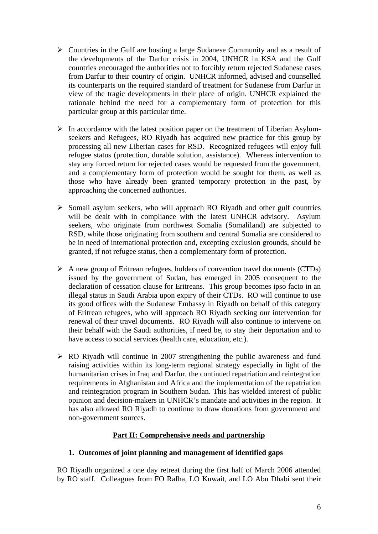- $\triangleright$  Countries in the Gulf are hosting a large Sudanese Community and as a result of the developments of the Darfur crisis in 2004, UNHCR in KSA and the Gulf countries encouraged the authorities not to forcibly return rejected Sudanese cases from Darfur to their country of origin. UNHCR informed, advised and counselled its counterparts on the required standard of treatment for Sudanese from Darfur in view of the tragic developments in their place of origin. UNHCR explained the rationale behind the need for a complementary form of protection for this particular group at this particular time.
- $\triangleright$  In accordance with the latest position paper on the treatment of Liberian Asylumseekers and Refugees, RO Riyadh has acquired new practice for this group by processing all new Liberian cases for RSD. Recognized refugees will enjoy full refugee status (protection, durable solution, assistance). Whereas intervention to stay any forced return for rejected cases would be requested from the government, and a complementary form of protection would be sought for them, as well as those who have already been granted temporary protection in the past, by approaching the concerned authorities.
- $\triangleright$  Somali asylum seekers, who will approach RO Riyadh and other gulf countries will be dealt with in compliance with the latest UNHCR advisory. Asylum seekers, who originate from northwest Somalia (Somaliland) are subjected to RSD, while those originating from southern and central Somalia are considered to be in need of international protection and, excepting exclusion grounds, should be granted, if not refugee status, then a complementary form of protection.
- $\triangleright$  A new group of Eritrean refugees, holders of convention travel documents (CTDs) issued by the government of Sudan, has emerged in 2005 consequent to the declaration of cessation clause for Eritreans. This group becomes ipso facto in an illegal status in Saudi Arabia upon expiry of their CTDs. RO will continue to use its good offices with the Sudanese Embassy in Riyadh on behalf of this category of Eritrean refugees, who will approach RO Riyadh seeking our intervention for renewal of their travel documents. RO Riyadh will also continue to intervene on their behalf with the Saudi authorities, if need be, to stay their deportation and to have access to social services (health care, education, etc.).
- $\triangleright$  RO Riyadh will continue in 2007 strengthening the public awareness and fund raising activities within its long-term regional strategy especially in light of the humanitarian crises in Iraq and Darfur, the continued repatriation and reintegration requirements in Afghanistan and Africa and the implementation of the repatriation and reintegration program in Southern Sudan. This has wielded interest of public opinion and decision-makers in UNHCR's mandate and activities in the region. It has also allowed RO Riyadh to continue to draw donations from government and non-government sources.

# **Part II: Comprehensive needs and partnership**

# **1. Outcomes of joint planning and management of identified gaps**

RO Riyadh organized a one day retreat during the first half of March 2006 attended by RO staff. Colleagues from FO Rafha, LO Kuwait, and LO Abu Dhabi sent their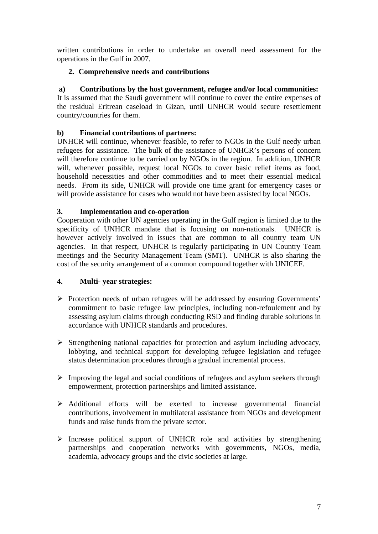written contributions in order to undertake an overall need assessment for the operations in the Gulf in 2007.

# **2. Comprehensive needs and contributions**

# **a) Contributions by the host government, refugee and/or local communities:**

It is assumed that the Saudi government will continue to cover the entire expenses of the residual Eritrean caseload in Gizan, until UNHCR would secure resettlement country/countries for them.

# **b) Financial contributions of partners:**

UNHCR will continue, whenever feasible, to refer to NGOs in the Gulf needy urban refugees for assistance. The bulk of the assistance of UNHCR's persons of concern will therefore continue to be carried on by NGOs in the region. In addition, UNHCR will, whenever possible, request local NGOs to cover basic relief items as food, household necessities and other commodities and to meet their essential medical needs. From its side, UNHCR will provide one time grant for emergency cases or will provide assistance for cases who would not have been assisted by local NGOs.

# **3. Implementation and co-operation**

Cooperation with other UN agencies operating in the Gulf region is limited due to the specificity of UNHCR mandate that is focusing on non-nationals. UNHCR is however actively involved in issues that are common to all country team UN agencies. In that respect, UNHCR is regularly participating in UN Country Team meetings and the Security Management Team (SMT). UNHCR is also sharing the cost of the security arrangement of a common compound together with UNICEF.

# **4. Multi- year strategies:**

- $\triangleright$  Protection needs of urban refugees will be addressed by ensuring Governments' commitment to basic refugee law principles, including non-refoulement and by assessing asylum claims through conducting RSD and finding durable solutions in accordance with UNHCR standards and procedures.
- $\triangleright$  Strengthening national capacities for protection and asylum including advocacy, lobbying, and technical support for developing refugee legislation and refugee status determination procedures through a gradual incremental process.
- $\triangleright$  Improving the legal and social conditions of refugees and asylum seekers through empowerment, protection partnerships and limited assistance.
- $\triangleright$  Additional efforts will be exerted to increase governmental financial contributions, involvement in multilateral assistance from NGOs and development funds and raise funds from the private sector.
- $\triangleright$  Increase political support of UNHCR role and activities by strengthening partnerships and cooperation networks with governments, NGOs, media, academia, advocacy groups and the civic societies at large.